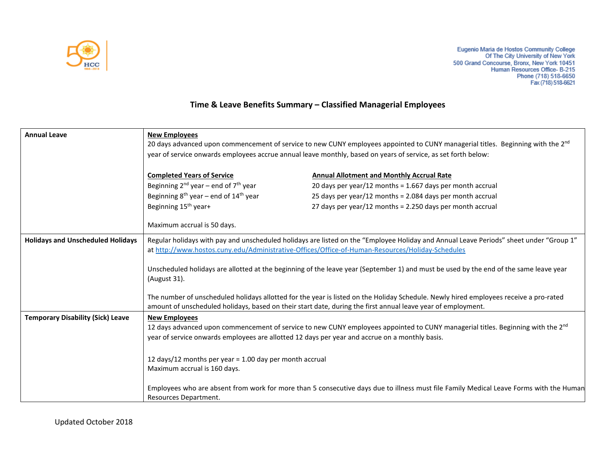

## **Time & Leave Benefits Summary – Classified Managerial Employees**

| <b>Annual Leave</b>                      | <b>New Employees</b>                                                                                                                                                |                                                                                                                                                                                                                                                       |  |
|------------------------------------------|---------------------------------------------------------------------------------------------------------------------------------------------------------------------|-------------------------------------------------------------------------------------------------------------------------------------------------------------------------------------------------------------------------------------------------------|--|
|                                          | 20 days advanced upon commencement of service to new CUNY employees appointed to CUNY managerial titles. Beginning with the 2 <sup>nd</sup>                         |                                                                                                                                                                                                                                                       |  |
|                                          | year of service onwards employees accrue annual leave monthly, based on years of service, as set forth below:                                                       |                                                                                                                                                                                                                                                       |  |
|                                          |                                                                                                                                                                     |                                                                                                                                                                                                                                                       |  |
|                                          | <b>Completed Years of Service</b>                                                                                                                                   | <b>Annual Allotment and Monthly Accrual Rate</b>                                                                                                                                                                                                      |  |
|                                          | Beginning $2^{nd}$ year – end of $7^{th}$ year                                                                                                                      | 20 days per year/12 months = $1.667$ days per month accrual                                                                                                                                                                                           |  |
|                                          | Beginning $8^{th}$ year – end of 14 <sup>th</sup> year                                                                                                              | 25 days per year/12 months = 2.084 days per month accrual                                                                                                                                                                                             |  |
|                                          | Beginning 15 <sup>th</sup> year+                                                                                                                                    | 27 days per year/12 months = 2.250 days per month accrual                                                                                                                                                                                             |  |
|                                          |                                                                                                                                                                     |                                                                                                                                                                                                                                                       |  |
|                                          | Maximum accrual is 50 days.                                                                                                                                         |                                                                                                                                                                                                                                                       |  |
| <b>Holidays and Unscheduled Holidays</b> | Regular holidays with pay and unscheduled holidays are listed on the "Employee Holiday and Annual Leave Periods" sheet under "Group 1"                              |                                                                                                                                                                                                                                                       |  |
|                                          | at http://www.hostos.cuny.edu/Administrative-Offices/Office-of-Human-Resources/Holiday-Schedules                                                                    |                                                                                                                                                                                                                                                       |  |
|                                          |                                                                                                                                                                     |                                                                                                                                                                                                                                                       |  |
|                                          | Unscheduled holidays are allotted at the beginning of the leave year (September 1) and must be used by the end of the same leave year                               |                                                                                                                                                                                                                                                       |  |
|                                          | (August 31).                                                                                                                                                        |                                                                                                                                                                                                                                                       |  |
|                                          |                                                                                                                                                                     |                                                                                                                                                                                                                                                       |  |
|                                          |                                                                                                                                                                     | The number of unscheduled holidays allotted for the year is listed on the Holiday Schedule. Newly hired employees receive a pro-rated<br>amount of unscheduled holidays, based on their start date, during the first annual leave year of employment. |  |
| <b>Temporary Disability (Sick) Leave</b> |                                                                                                                                                                     |                                                                                                                                                                                                                                                       |  |
|                                          | <b>New Employees</b><br>12 days advanced upon commencement of service to new CUNY employees appointed to CUNY managerial titles. Beginning with the 2 <sup>nd</sup> |                                                                                                                                                                                                                                                       |  |
|                                          | year of service onwards employees are allotted 12 days per year and accrue on a monthly basis.                                                                      |                                                                                                                                                                                                                                                       |  |
|                                          |                                                                                                                                                                     |                                                                                                                                                                                                                                                       |  |
|                                          | 12 days/12 months per year = 1.00 day per month accrual                                                                                                             |                                                                                                                                                                                                                                                       |  |
|                                          | Maximum accrual is 160 days.                                                                                                                                        |                                                                                                                                                                                                                                                       |  |
|                                          |                                                                                                                                                                     |                                                                                                                                                                                                                                                       |  |
|                                          | Employees who are absent from work for more than 5 consecutive days due to illness must file Family Medical Leave Forms with the Human                              |                                                                                                                                                                                                                                                       |  |
|                                          | Resources Department.                                                                                                                                               |                                                                                                                                                                                                                                                       |  |